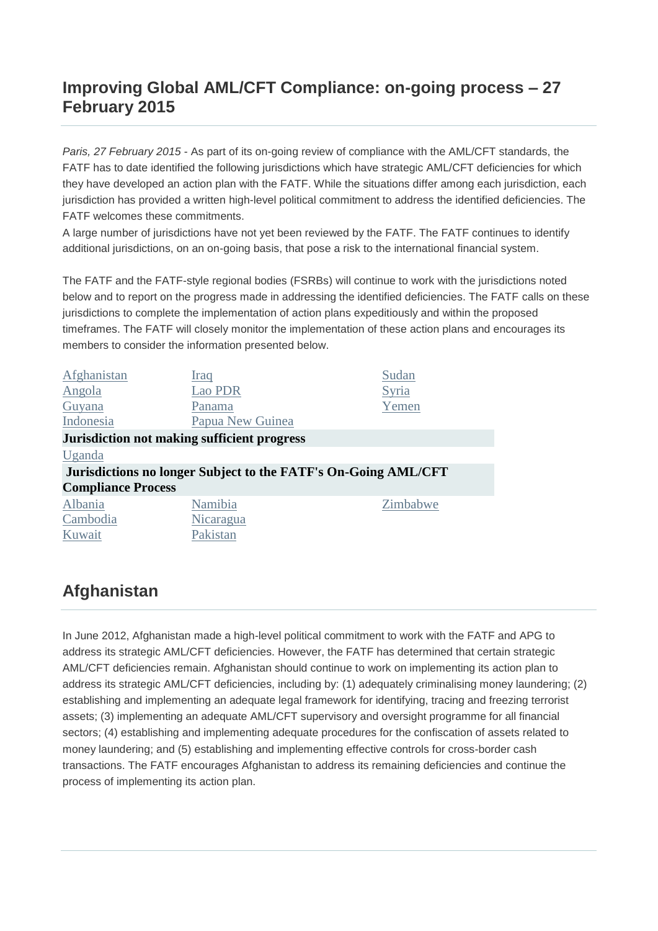### **Improving Global AML/CFT Compliance: on-going process – 27 February 2015**

*Paris, 27 February 2015* - As part of its on-going review of compliance with the AML/CFT standards, the FATF has to date identified the following jurisdictions which have strategic AML/CFT deficiencies for which they have developed an action plan with the FATF. While the situations differ among each jurisdiction, each jurisdiction has provided a written high-level political commitment to address the identified deficiencies. The FATF welcomes these commitments.

A large number of jurisdictions have not yet been reviewed by the FATF. The FATF continues to identify additional jurisdictions, on an on-going basis, that pose a risk to the international financial system.

The FATF and the FATF-style regional bodies (FSRBs) will continue to work with the jurisdictions noted below and to report on the progress made in addressing the identified deficiencies. The FATF calls on these jurisdictions to complete the implementation of action plans expeditiously and within the proposed timeframes. The FATF will closely monitor the implementation of these action plans and encourages its members to consider the information presented below.

| Afghanistan               | Iraq                                                           | Sudan    |
|---------------------------|----------------------------------------------------------------|----------|
| <b>Angola</b>             | Lao PDR                                                        | Syria    |
| Guyana                    | Panama                                                         | Yemen    |
| Indonesia                 | Papua New Guinea                                               |          |
|                           | Jurisdiction not making sufficient progress                    |          |
| Uganda                    |                                                                |          |
|                           | Jurisdictions no longer Subject to the FATF's On-Going AML/CFT |          |
| <b>Compliance Process</b> |                                                                |          |
| Albania                   | Namibia                                                        | Zimbabwe |
| Cambodia                  | Nicaragua                                                      |          |
| Kuwait                    | Pakistan                                                       |          |

## **Afghanistan**

In June 2012, Afghanistan made a high-level political commitment to work with the FATF and APG to address its strategic AML/CFT deficiencies. However, the FATF has determined that certain strategic AML/CFT deficiencies remain. Afghanistan should continue to work on implementing its action plan to address its strategic AML/CFT deficiencies, including by: (1) adequately criminalising money laundering; (2) establishing and implementing an adequate legal framework for identifying, tracing and freezing terrorist assets; (3) implementing an adequate AML/CFT supervisory and oversight programme for all financial sectors; (4) establishing and implementing adequate procedures for the confiscation of assets related to money laundering; and (5) establishing and implementing effective controls for cross-border cash transactions. The FATF encourages Afghanistan to address its remaining deficiencies and continue the process of implementing its action plan.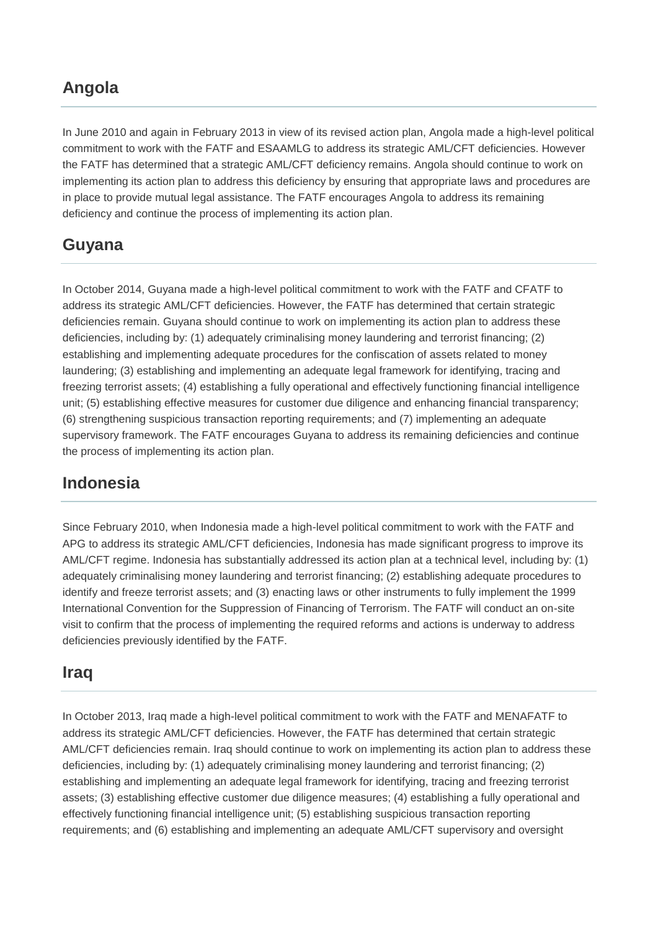### **Angola**

In June 2010 and again in February 2013 in view of its revised action plan, Angola made a high-level political commitment to work with the FATF and ESAAMLG to address its strategic AML/CFT deficiencies. However the FATF has determined that a strategic AML/CFT deficiency remains. Angola should continue to work on implementing its action plan to address this deficiency by ensuring that appropriate laws and procedures are in place to provide mutual legal assistance. The FATF encourages Angola to address its remaining deficiency and continue the process of implementing its action plan.

## **Guyana**

In October 2014, Guyana made a high-level political commitment to work with the FATF and CFATF to address its strategic AML/CFT deficiencies. However, the FATF has determined that certain strategic deficiencies remain. Guyana should continue to work on implementing its action plan to address these deficiencies, including by: (1) adequately criminalising money laundering and terrorist financing; (2) establishing and implementing adequate procedures for the confiscation of assets related to money laundering; (3) establishing and implementing an adequate legal framework for identifying, tracing and freezing terrorist assets; (4) establishing a fully operational and effectively functioning financial intelligence unit; (5) establishing effective measures for customer due diligence and enhancing financial transparency; (6) strengthening suspicious transaction reporting requirements; and (7) implementing an adequate supervisory framework. The FATF encourages Guyana to address its remaining deficiencies and continue the process of implementing its action plan.

### **Indonesia**

Since February 2010, when Indonesia made a high-level political commitment to work with the FATF and APG to address its strategic AML/CFT deficiencies, Indonesia has made significant progress to improve its AML/CFT regime. Indonesia has substantially addressed its action plan at a technical level, including by: (1) adequately criminalising money laundering and terrorist financing; (2) establishing adequate procedures to identify and freeze terrorist assets; and (3) enacting laws or other instruments to fully implement the 1999 International Convention for the Suppression of Financing of Terrorism. The FATF will conduct an on-site visit to confirm that the process of implementing the required reforms and actions is underway to address deficiencies previously identified by the FATF.

### **Iraq**

In October 2013, Iraq made a high-level political commitment to work with the FATF and MENAFATF to address its strategic AML/CFT deficiencies. However, the FATF has determined that certain strategic AML/CFT deficiencies remain. Iraq should continue to work on implementing its action plan to address these deficiencies, including by: (1) adequately criminalising money laundering and terrorist financing; (2) establishing and implementing an adequate legal framework for identifying, tracing and freezing terrorist assets; (3) establishing effective customer due diligence measures; (4) establishing a fully operational and effectively functioning financial intelligence unit; (5) establishing suspicious transaction reporting requirements; and (6) establishing and implementing an adequate AML/CFT supervisory and oversight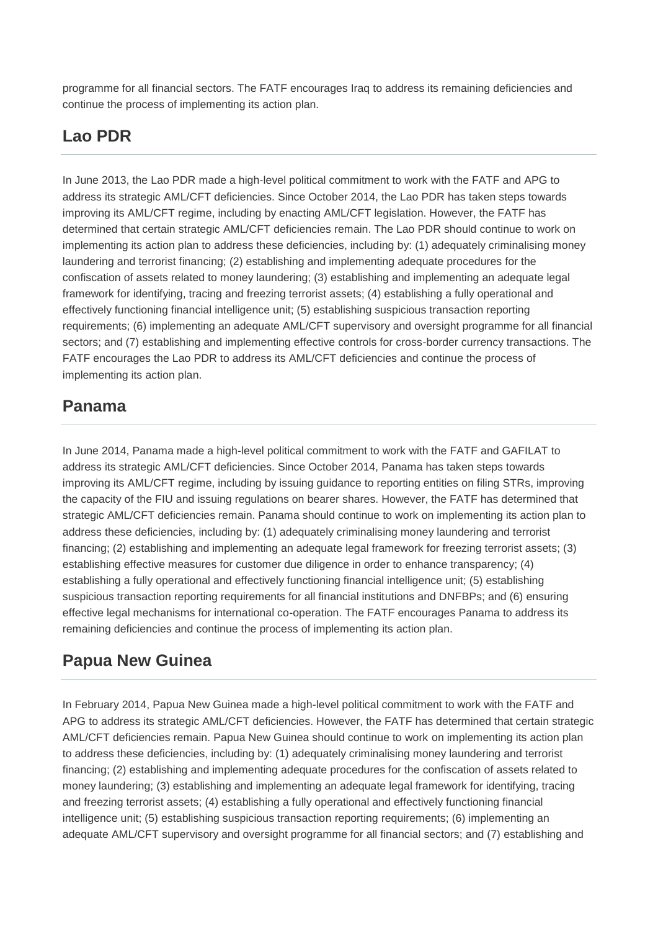programme for all financial sectors. The FATF encourages Iraq to address its remaining deficiencies and continue the process of implementing its action plan.

## **Lao PDR**

In June 2013, the Lao PDR made a high-level political commitment to work with the FATF and APG to address its strategic AML/CFT deficiencies. Since October 2014, the Lao PDR has taken steps towards improving its AML/CFT regime, including by enacting AML/CFT legislation. However, the FATF has determined that certain strategic AML/CFT deficiencies remain. The Lao PDR should continue to work on implementing its action plan to address these deficiencies, including by: (1) adequately criminalising money laundering and terrorist financing; (2) establishing and implementing adequate procedures for the confiscation of assets related to money laundering; (3) establishing and implementing an adequate legal framework for identifying, tracing and freezing terrorist assets; (4) establishing a fully operational and effectively functioning financial intelligence unit; (5) establishing suspicious transaction reporting requirements; (6) implementing an adequate AML/CFT supervisory and oversight programme for all financial sectors; and (7) establishing and implementing effective controls for cross-border currency transactions. The FATF encourages the Lao PDR to address its AML/CFT deficiencies and continue the process of implementing its action plan.

## **Panama**

In June 2014, Panama made a high-level political commitment to work with the FATF and GAFILAT to address its strategic AML/CFT deficiencies. Since October 2014, Panama has taken steps towards improving its AML/CFT regime, including by issuing guidance to reporting entities on filing STRs, improving the capacity of the FIU and issuing regulations on bearer shares. However, the FATF has determined that strategic AML/CFT deficiencies remain. Panama should continue to work on implementing its action plan to address these deficiencies, including by: (1) adequately criminalising money laundering and terrorist financing; (2) establishing and implementing an adequate legal framework for freezing terrorist assets; (3) establishing effective measures for customer due diligence in order to enhance transparency; (4) establishing a fully operational and effectively functioning financial intelligence unit; (5) establishing suspicious transaction reporting requirements for all financial institutions and DNFBPs; and (6) ensuring effective legal mechanisms for international co-operation. The FATF encourages Panama to address its remaining deficiencies and continue the process of implementing its action plan.

# **Papua New Guinea**

In February 2014, Papua New Guinea made a high-level political commitment to work with the FATF and APG to address its strategic AML/CFT deficiencies. However, the FATF has determined that certain strategic AML/CFT deficiencies remain. Papua New Guinea should continue to work on implementing its action plan to address these deficiencies, including by: (1) adequately criminalising money laundering and terrorist financing; (2) establishing and implementing adequate procedures for the confiscation of assets related to money laundering; (3) establishing and implementing an adequate legal framework for identifying, tracing and freezing terrorist assets; (4) establishing a fully operational and effectively functioning financial intelligence unit; (5) establishing suspicious transaction reporting requirements; (6) implementing an adequate AML/CFT supervisory and oversight programme for all financial sectors; and (7) establishing and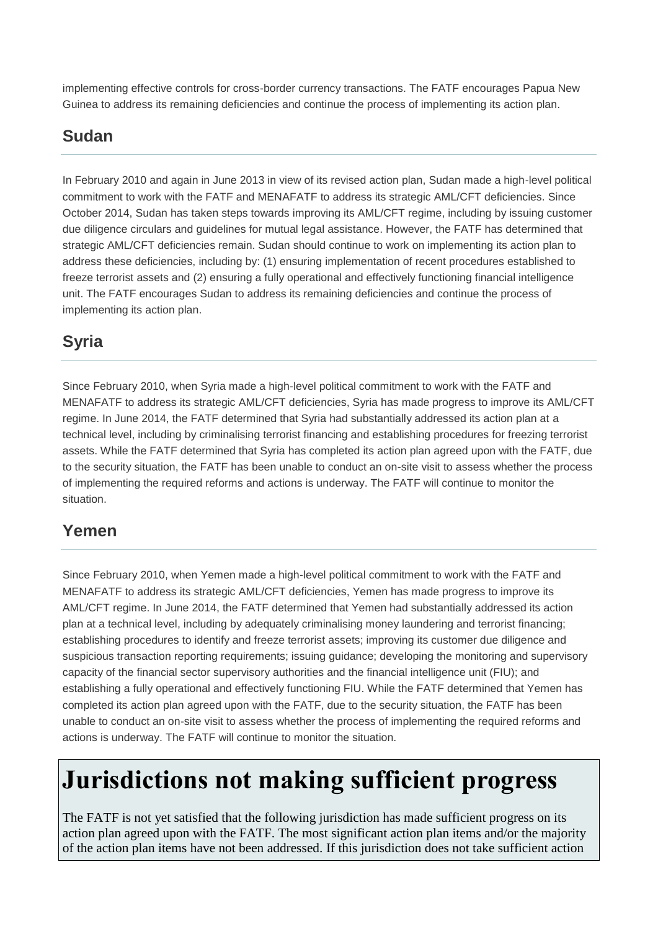implementing effective controls for cross-border currency transactions. The FATF encourages Papua New Guinea to address its remaining deficiencies and continue the process of implementing its action plan.

# **Sudan**

In February 2010 and again in June 2013 in view of its revised action plan, Sudan made a high-level political commitment to work with the FATF and MENAFATF to address its strategic AML/CFT deficiencies. Since October 2014, Sudan has taken steps towards improving its AML/CFT regime, including by issuing customer due diligence circulars and guidelines for mutual legal assistance. However, the FATF has determined that strategic AML/CFT deficiencies remain. Sudan should continue to work on implementing its action plan to address these deficiencies, including by: (1) ensuring implementation of recent procedures established to freeze terrorist assets and (2) ensuring a fully operational and effectively functioning financial intelligence unit. The FATF encourages Sudan to address its remaining deficiencies and continue the process of implementing its action plan.

# **Syria**

Since February 2010, when Syria made a high-level political commitment to work with the FATF and MENAFATF to address its strategic AML/CFT deficiencies, Syria has made progress to improve its AML/CFT regime. In June 2014, the FATF determined that Syria had substantially addressed its action plan at a technical level, including by criminalising terrorist financing and establishing procedures for freezing terrorist assets. While the FATF determined that Syria has completed its action plan agreed upon with the FATF, due to the security situation, the FATF has been unable to conduct an on-site visit to assess whether the process of implementing the required reforms and actions is underway. The FATF will continue to monitor the situation.

# **Yemen**

Since February 2010, when Yemen made a high-level political commitment to work with the FATF and MENAFATF to address its strategic AML/CFT deficiencies, Yemen has made progress to improve its AML/CFT regime. In June 2014, the FATF determined that Yemen had substantially addressed its action plan at a technical level, including by adequately criminalising money laundering and terrorist financing; establishing procedures to identify and freeze terrorist assets; improving its customer due diligence and suspicious transaction reporting requirements; issuing guidance; developing the monitoring and supervisory capacity of the financial sector supervisory authorities and the financial intelligence unit (FIU); and establishing a fully operational and effectively functioning FIU. While the FATF determined that Yemen has completed its action plan agreed upon with the FATF, due to the security situation, the FATF has been unable to conduct an on-site visit to assess whether the process of implementing the required reforms and actions is underway. The FATF will continue to monitor the situation.

# **Jurisdictions not making sufficient progress**

The FATF is not yet satisfied that the following jurisdiction has made sufficient progress on its action plan agreed upon with the FATF. The most significant action plan items and/or the majority of the action plan items have not been addressed. If this jurisdiction does not take sufficient action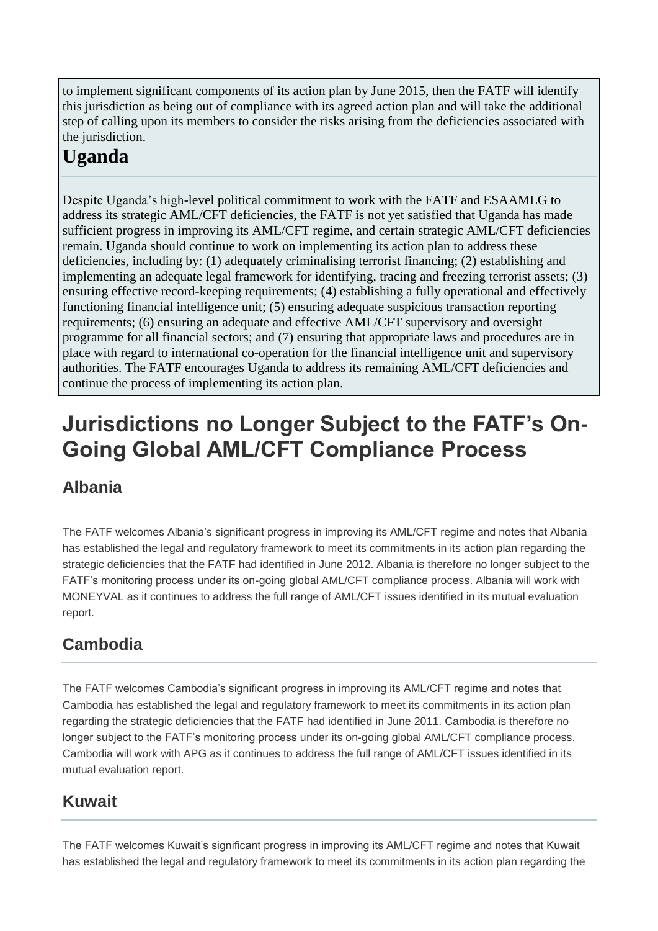to implement significant components of its action plan by June 2015, then the FATF will identify this jurisdiction as being out of compliance with its agreed action plan and will take the additional step of calling upon its members to consider the risks arising from the deficiencies associated with the jurisdiction.

# **Uganda**

Despite Uganda's high-level political commitment to work with the FATF and ESAAMLG to address its strategic AML/CFT deficiencies, the FATF is not yet satisfied that Uganda has made sufficient progress in improving its AML/CFT regime, and certain strategic AML/CFT deficiencies remain. Uganda should continue to work on implementing its action plan to address these deficiencies, including by: (1) adequately criminalising terrorist financing; (2) establishing and implementing an adequate legal framework for identifying, tracing and freezing terrorist assets; (3) ensuring effective record-keeping requirements; (4) establishing a fully operational and effectively functioning financial intelligence unit; (5) ensuring adequate suspicious transaction reporting requirements; (6) ensuring an adequate and effective AML/CFT supervisory and oversight programme for all financial sectors; and (7) ensuring that appropriate laws and procedures are in place with regard to international co-operation for the financial intelligence unit and supervisory authorities. The FATF encourages Uganda to address its remaining AML/CFT deficiencies and continue the process of implementing its action plan.

# **Jurisdictions no Longer Subject to the FATF's On-Going Global AML/CFT Compliance Process**

# **Albania**

The FATF welcomes Albania's significant progress in improving its AML/CFT regime and notes that Albania has established the legal and regulatory framework to meet its commitments in its action plan regarding the strategic deficiencies that the FATF had identified in June 2012. Albania is therefore no longer subject to the FATF's monitoring process under its on-going global AML/CFT compliance process. Albania will work with MONEYVAL as it continues to address the full range of AML/CFT issues identified in its mutual evaluation report.

# **Cambodia**

The FATF welcomes Cambodia's significant progress in improving its AML/CFT regime and notes that Cambodia has established the legal and regulatory framework to meet its commitments in its action plan regarding the strategic deficiencies that the FATF had identified in June 2011. Cambodia is therefore no longer subject to the FATF's monitoring process under its on-going global AML/CFT compliance process. Cambodia will work with APG as it continues to address the full range of AML/CFT issues identified in its mutual evaluation report.

# **Kuwait**

The FATF welcomes Kuwait's significant progress in improving its AML/CFT regime and notes that Kuwait has established the legal and regulatory framework to meet its commitments in its action plan regarding the